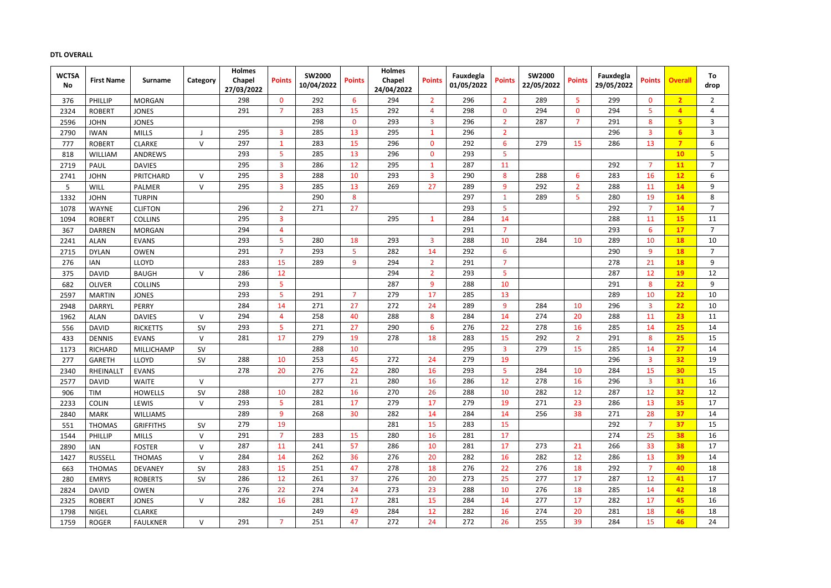# **DTL OVERALL**

| <b>WCTSA</b> | <b>First Name</b> | <b>Surname</b>    | Category  | <b>Holmes</b><br>Chapel | <b>Points</b>  | <b>SW2000</b> | <b>Points</b>  | <b>Holmes</b><br>Chapel | <b>Points</b>  | Fauxdegla  | <b>Points</b>   | <b>SW2000</b> | <b>Points</b>  | Fauxdegla  | <b>Points</b>    | <b>Overall</b> | To             |
|--------------|-------------------|-------------------|-----------|-------------------------|----------------|---------------|----------------|-------------------------|----------------|------------|-----------------|---------------|----------------|------------|------------------|----------------|----------------|
| No           |                   |                   |           | 27/03/2022              |                | 10/04/2022    |                | 24/04/2022              |                | 01/05/2022 |                 | 22/05/2022    |                | 29/05/2022 |                  |                | drop           |
| 376          | PHILLIP           | <b>MORGAN</b>     |           | 298                     | $\mathbf{0}$   | 292           | 6              | 294                     | $\overline{2}$ | 296        | 2 <sup>1</sup>  | 289           | 5              | 299        | $\mathbf{0}$     | $\overline{2}$ | $2^{\circ}$    |
| 2324         | <b>ROBERT</b>     | <b>JONES</b>      |           | 291                     | $\overline{7}$ | 283           | 15             | 292                     | $\overline{4}$ | 298        | $\mathbf{0}$    | 294           | $\mathbf{0}$   | 294        | 5                |                | $\overline{4}$ |
| 2596         | <b>JOHN</b>       | <b>JONES</b>      |           |                         |                | 298           | $\mathbf{0}$   | 293                     | 3              | 296        | $\overline{2}$  | 287           | $\overline{7}$ | 291        | 8                | 5 <sub>5</sub> | $\overline{3}$ |
| 2790         | <b>IWAN</b>       | <b>MILLS</b>      |           | 295                     | $\overline{3}$ | 285           | 13             | 295                     | $\mathbf 1$    | 296        | $\overline{2}$  |               |                | 296        | $\overline{3}$   | 6              | $\overline{3}$ |
| 777          | <b>ROBERT</b>     | <b>CLARKE</b>     | $\vee$    | 297                     | -1             | 283           | 15             | 296                     | $\mathbf{0}$   | 292        | 6               | 279           | 15             | 286        | 13               | $\overline{7}$ | 6              |
| 818          | WILLIAM           | ANDREWS           |           | 293                     | 5              | 285           | 13             | 296                     | $\mathbf{0}$   | 293        | 5               |               |                |            |                  | 10             | 5 <sub>1</sub> |
| 2719         | <b>PAUL</b>       | <b>DAVIES</b>     |           | 295                     | $\overline{3}$ | 286           | 12             | 295                     | $\mathbf 1$    | 287        | 11              |               |                | 292        | $\overline{7}$   | 11             | 7 <sup>1</sup> |
| 2741         | <b>JOHN</b>       | PRITCHARD         | V         | 295                     | $\overline{3}$ | 288           | 10             | 293                     | 3              | 290        | 8               | 288           | $6\phantom{1}$ | 283        | 16               | 12             | 6              |
| 5            | <b>WILL</b>       | PALMER            | $\vee$    | 295                     | 3              | 285           | 13             | 269                     | 27             | 289        | 9               | 292           | $\overline{2}$ | 288        | 11               | 14             | 9              |
| 1332         | <b>JOHN</b>       | <b>TURPIN</b>     |           |                         |                | 290           | 8              |                         |                | 297        | $\mathbf{1}$    | 289           | 5              | 280        | 19               | 14             | 8              |
| 1078         | <b>WAYNE</b>      | <b>CLIFTON</b>    |           | 296                     | $\overline{2}$ | 271           | 27             |                         |                | 293        | 5               |               |                | 292        | $\overline{7}$   | 14             | $\overline{7}$ |
| 1094         | <b>ROBERT</b>     | <b>COLLINS</b>    |           | 295                     | 3              |               |                | 295                     | $\mathbf{1}$   | 284        | 14              |               |                | 288        | 11               | 15             | 11             |
| 367          | <b>DARREN</b>     | <b>MORGAN</b>     |           | 294                     | $\overline{a}$ |               |                |                         |                | 291        | $\overline{7}$  |               |                | 293        | $6\overline{6}$  | 17             | $\overline{7}$ |
| 2241         | <b>ALAN</b>       | <b>EVANS</b>      |           | 293                     | 5              | 280           | 18             | 293                     | $\overline{3}$ | 288        | 10              | 284           | 10             | 289        | 10               | 18             | 10             |
| 2715         | <b>DYLAN</b>      | <b>OWEN</b>       |           | 291                     | $\overline{7}$ | 293           | 5              | 282                     | 14             | 292        | $6\overline{6}$ |               |                | 290        | 9                | <b>18</b>      | $\overline{7}$ |
| 276          | <b>IAN</b>        | LLOYD             |           | 283                     | 15             | 289           | 9              | 294                     | $2^{\circ}$    | 291        | $\overline{7}$  |               |                | 278        | 21               | 18             | 9              |
| 375          | <b>DAVID</b>      | <b>BAUGH</b>      | $\vee$    | 286                     | 12             |               |                | 294                     | $\overline{2}$ | 293        | 5               |               |                | 287        | 12               | <b>19</b>      | 12             |
| 682          | <b>OLIVER</b>     | <b>COLLINS</b>    |           | 293                     | 5              |               |                | 287                     | 9              | 288        | 10              |               |                | 291        | $\boldsymbol{8}$ | 22             | 9              |
| 2597         | <b>MARTIN</b>     | <b>JONES</b>      |           | 293                     | 5              | 291           | $\overline{7}$ | 279                     | 17             | 285        | 13              |               |                | 289        | 10               | 22             | 10             |
| 2948         | <b>DARRYL</b>     | <b>PERRY</b>      |           | 284                     | 14             | 271           | 27             | 272                     | 24             | 289        | 9               | 284           | 10             | 296        | $\overline{3}$   | 22             | 10             |
| 1962         | <b>ALAN</b>       | <b>DAVIES</b>     | $\vee$    | 294                     | Δ              | 258           | 40             | 288                     | 8              | 284        | 14              | 274           | 20             | 288        | 11               | 23             | 11             |
| 556          | <b>DAVID</b>      | <b>RICKETTS</b>   | <b>SV</b> | 293                     | 5              | 271           | 27             | 290                     | 6              | 276        | 22              | 278           | 16             | 285        | 14               | 25             | 14             |
| 433          | <b>DENNIS</b>     | <b>EVANS</b>      | V         | 281                     | 17             | 279           | 19             | 278                     | 18             | 283        | 15              | 292           | $\overline{2}$ | 291        | 8                | 25             | 15             |
| 1173         | <b>RICHARD</b>    | <b>MILLICHAMP</b> | SV        |                         |                | 288           | 10             |                         |                | 295        | $\overline{3}$  | 279           | 15             | 285        | 14               | 27             | 14             |
| 277          | <b>GARETH</b>     | <b>LLOYD</b>      | SV        | 288                     | 10             | 253           | 45             | 272                     | 24             | 279        | 19              |               |                | 296        | $\overline{3}$   | 32             | 19             |
| 2340         | <b>RHEINALLT</b>  | <b>EVANS</b>      |           | 278                     | 20             | 276           | 22             | 280                     | 16             | 293        | 5               | 284           | 10             | 284        | 15               | 30             | 15             |
| 2577         | <b>DAVID</b>      | WAITE             | v         |                         |                | 277           | 21             | 280                     | 16             | 286        | 12              | 278           | 16             | 296        | 3                | 31             | 16             |
| 906          | TIM               | <b>HOWELLS</b>    | <b>SV</b> | 288                     | 10             | 282           | 16             | 270                     | 26             | 288        | 10              | 282           | 12             | 287        | 12               | 32             | 12             |
| 2233         | <b>COLIN</b>      | LEWIS             | $\vee$    | 293                     | 5              | 281           | 17             | 279                     | 17             | 279        | 19              | 271           | 23             | 286        | 13               | 35             | 17             |
| 2840         | <b>MARK</b>       | <b>WILLIAMS</b>   |           | 289                     | 9              | 268           | 30             | 282                     | 14             | 284        | 14              | 256           | 38             | 271        | 28               | 37             | 14             |
| 551          | <b>THOMAS</b>     | <b>GRIFFITHS</b>  | <b>SV</b> | 279                     | 19             |               |                | 281                     | 15             | 283        | 15              |               |                | 292        | $\overline{7}$   | 37             | 15             |
| 1544         | <b>PHILLIP</b>    | <b>MILLS</b>      | $\vee$    | 291                     | $\overline{7}$ | 283           | 15             | 280                     | 16             | 281        | 17              |               |                | 274        | 25               | 38             | 16             |
| 2890         | IAN               | <b>FOSTER</b>     | $\vee$    | 287                     | 11             | 241           | 57             | 286                     | 10             | 281        | 17              | 273           | 21             | 266        | 33               | 38             | 17             |
| 1427         | <b>RUSSELL</b>    | <b>THOMAS</b>     | $\vee$    | 284                     | 14             | 262           | 36             | 276                     | 20             | 282        | 16              | 282           | 12             | 286        | 13               | 39             | 14             |
| 663          | <b>THOMAS</b>     | <b>DEVANEY</b>    | <b>SV</b> | 283                     | 15             | 251           | 47             | 278                     | 18             | 276        | 22              | 276           | 18             | 292        | $\overline{7}$   | 40             | 18             |
| 280          | <b>EMRYS</b>      | <b>ROBERTS</b>    | SV        | 286                     | 12             | 261           | 37             | 276                     | 20             | 273        | 25              | 277           | 17             | 287        | 12               | 41             | 17             |
| 2824         | <b>DAVID</b>      | <b>OWEN</b>       |           | 276                     | 22             | 274           | 24             | 273                     | 23             | 288        | 10              | 276           | 18             | 285        | 14               | 42             | 18             |
| 2325         | <b>ROBERT</b>     | <b>JONES</b>      | $\vee$    | 282                     | 16             | 281           | 17             | 281                     | 15             | 284        | 14              | 277           | 17             | 282        | 17               | 45             | 16             |
| 1798         | <b>NIGEL</b>      | <b>CLARKE</b>     |           |                         |                | 249           | 49             | 284                     | 12             | 282        | 16              | 274           | 20             | 281        | 18               | 46             | 18             |
| 1759         | <b>ROGER</b>      | <b>FAULKNER</b>   | $\vee$    | 291                     | $\overline{7}$ | 251           | 47             | 272                     | 24             | 272        | 26              | 255           | 39             | 284        | 15               | 46             | 24             |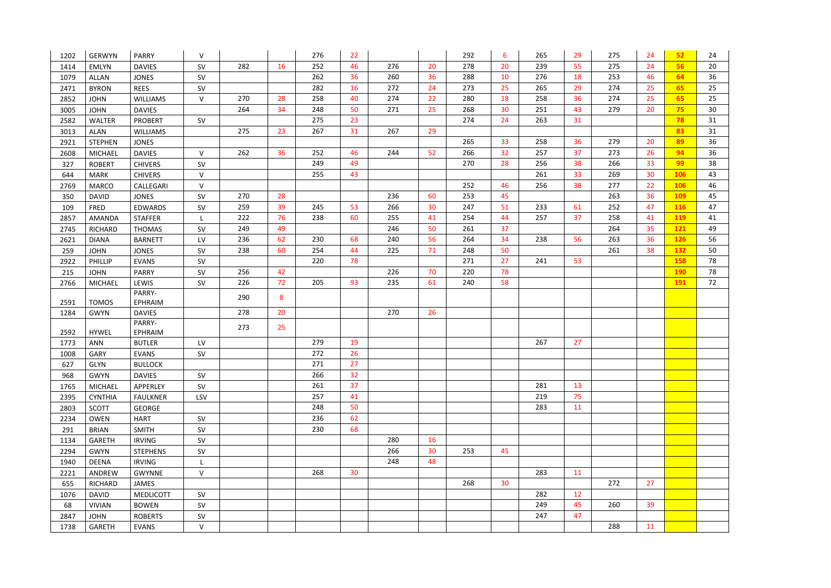| 16<br>276<br>20<br>20<br>55<br>24<br>282<br>252<br>46<br>278<br>239<br>275<br><b>EMLYN</b><br><b>DAVIES</b><br>SV<br>1414<br>260<br>36<br>262<br>36<br>288<br>10<br>276<br>18<br>253<br>46<br>SV<br>1079<br>ALLAN<br><b>JONES</b><br>25<br>282<br>272<br>24<br>273<br>265<br>29<br>274<br>25<br>$\textsf{SV}$<br>16<br><b>BYRON</b><br><b>REES</b><br>2471 | 56<br>20<br>64<br>36  |
|------------------------------------------------------------------------------------------------------------------------------------------------------------------------------------------------------------------------------------------------------------------------------------------------------------------------------------------------------------|-----------------------|
|                                                                                                                                                                                                                                                                                                                                                            |                       |
|                                                                                                                                                                                                                                                                                                                                                            |                       |
|                                                                                                                                                                                                                                                                                                                                                            | 25<br>65              |
| 274<br>36<br>270<br>28<br>258<br>40<br>22<br>280<br>18<br>258<br>274<br>25<br>$\mathsf{V}$<br>2852<br><b>JOHN</b><br><b>WILLIAMS</b>                                                                                                                                                                                                                       | 25<br>65              |
| 25<br>264<br>34<br>30<br>43<br>279<br>20<br>248<br>50<br>271<br>268<br>251<br>3005<br><b>JOHN</b><br><b>DAVIES</b>                                                                                                                                                                                                                                         | 75<br>30 <sup>°</sup> |
| 24<br>23<br>31<br>275<br>274<br>263<br>SV<br>2582<br><b>WALTER</b><br><b>PROBERT</b>                                                                                                                                                                                                                                                                       | 78<br>31              |
| 267<br>267<br>29<br>275<br>23<br>31<br>3013<br><b>ALAN</b><br><b>WILLIAMS</b>                                                                                                                                                                                                                                                                              | 83<br>31              |
| 36<br>33<br>20<br>265<br>279<br>258<br>2921<br><b>STEPHEN</b><br><b>JONES</b>                                                                                                                                                                                                                                                                              | 36<br>89              |
| 262<br>266<br>32<br>257<br>37<br>273<br>26<br>36<br>252<br>46<br>244<br>52<br>2608<br><b>DAVIES</b><br>$\vee$<br><b>MICHAEL</b>                                                                                                                                                                                                                            | 36<br>94              |
| 28<br>38<br>33<br>249<br>49<br>270<br>256<br>266<br><b>ROBERT</b><br>327<br><b>CHIVERS</b><br>SV                                                                                                                                                                                                                                                           | 99<br>38              |
| 43<br>261<br>33<br>30<br>255<br>269<br>$\mathsf{V}$<br><b>MARK</b><br><b>CHIVERS</b><br>644                                                                                                                                                                                                                                                                | 106<br>43             |
| 38<br>46<br>277<br>22<br>$\vee$<br>252<br>256<br>2769<br><b>MARCO</b><br>CALLEGARI                                                                                                                                                                                                                                                                         | 106<br>46             |
| 270<br>28<br>236<br>60<br>45<br>36<br>253<br>263<br>SV<br>350<br><b>DAVID</b><br><b>JONES</b>                                                                                                                                                                                                                                                              | <b>109</b><br>45      |
| 259<br>39<br>266<br>47<br>245<br>53<br>30<br>247<br>51<br>233<br>61<br>252<br>SV<br>109<br>FRED<br><b>EDWARDS</b>                                                                                                                                                                                                                                          | 47<br>116             |
| 76<br>238<br>37<br>222<br>60<br>255<br>41<br>254<br>44<br>257<br>258<br>41<br>2857<br><b>STAFFER</b><br>AMANDA                                                                                                                                                                                                                                             | <b>119</b><br>41      |
| 249<br>246<br>50<br>261<br>37<br>264<br>35<br>49<br>RICHARD<br>SV<br>2745<br><b>THOMAS</b>                                                                                                                                                                                                                                                                 | 121<br>49             |
| 236<br>62<br>68<br>240<br>56<br>34<br>56<br>36<br>230<br>264<br>238<br>263<br>LV<br>2621<br><b>DIANA</b><br><b>BARNETT</b>                                                                                                                                                                                                                                 | 56<br><b>126</b>      |
| 60<br>71<br>50<br>38<br>238<br>254<br>44<br>225<br>248<br>261<br>SV<br>259<br><b>JOHN</b><br><b>JONES</b>                                                                                                                                                                                                                                                  | 132<br>50             |
| SV<br>78<br>271<br>27<br>241<br>53<br>2922<br>PHILLIP<br><b>EVANS</b><br>220                                                                                                                                                                                                                                                                               | 158<br>78             |
| 70<br>256<br>42<br>226<br>78<br>220<br><b>PARRY</b><br>$\textsf{SV}$<br>215<br><b>JOHN</b>                                                                                                                                                                                                                                                                 | 78<br><b>190</b>      |
| 235<br>226<br>72<br>205<br>93<br>58<br>SV<br>61<br>240<br>LEWIS<br>2766<br><b>MICHAEL</b>                                                                                                                                                                                                                                                                  | <b>191</b><br>72      |
| PARRY-<br>290<br>8                                                                                                                                                                                                                                                                                                                                         |                       |
| <b>TOMOS</b><br>2591<br>EPHRAIM                                                                                                                                                                                                                                                                                                                            |                       |
| 20<br>270<br>26<br>278<br>1284<br><b>DAVIES</b><br><b>GWYN</b>                                                                                                                                                                                                                                                                                             |                       |
| PARRY-<br>273<br>25<br>EPHRAIM<br>2592<br><b>HYWEL</b>                                                                                                                                                                                                                                                                                                     |                       |
| 279<br>19<br>267<br>27<br>ANN<br>LV<br>1773<br><b>BUTLER</b>                                                                                                                                                                                                                                                                                               |                       |
| 272<br>26<br>1008<br>SV<br>GARY<br><b>EVANS</b>                                                                                                                                                                                                                                                                                                            |                       |
| 27<br>271<br>627<br>GLYN<br><b>BULLOCK</b>                                                                                                                                                                                                                                                                                                                 |                       |
| 32<br>266<br><b>DAVIES</b><br>SV<br>968<br><b>GWYN</b>                                                                                                                                                                                                                                                                                                     |                       |
| 37<br>13<br>261<br>281<br>1765<br>SV<br><b>MICHAEL</b><br>APPERLEY                                                                                                                                                                                                                                                                                         |                       |
| 75<br>257<br>41<br>219<br><b>CYNTHIA</b><br>LSV<br>2395<br><b>FAULKNER</b>                                                                                                                                                                                                                                                                                 |                       |
| 50<br>248<br>283<br>11<br>2803<br><b>SCOTT</b><br><b>GEORGE</b>                                                                                                                                                                                                                                                                                            |                       |
| 62<br>236<br><b>HART</b><br>SV<br>2234<br>OWEN                                                                                                                                                                                                                                                                                                             |                       |
| 230<br>68<br>SV<br><b>BRIAN</b><br><b>SMITH</b><br>291                                                                                                                                                                                                                                                                                                     |                       |
| 280<br>16<br>1134<br>GARETH<br><b>IRVING</b><br>SV                                                                                                                                                                                                                                                                                                         |                       |
| 266<br>30<br>45<br>253<br>2294<br><b>GWYN</b><br><b>STEPHENS</b><br>SV                                                                                                                                                                                                                                                                                     |                       |
| 48<br>248<br>1940<br><b>DEENA</b><br><b>IRVING</b>                                                                                                                                                                                                                                                                                                         |                       |
| 30<br>268<br>283<br>$\mathsf{V}$<br>11<br>ANDREW<br>2221<br>GWYNNE                                                                                                                                                                                                                                                                                         |                       |
| 30<br>27<br>268<br>272<br>655<br>RICHARD<br>JAMES                                                                                                                                                                                                                                                                                                          |                       |
| 282<br>12<br>SV<br>1076<br><b>DAVID</b><br><b>MEDLICOTT</b>                                                                                                                                                                                                                                                                                                |                       |
| 39<br>249<br>45<br>260<br>SV<br>68<br><b>VIVIAN</b><br><b>BOWEN</b>                                                                                                                                                                                                                                                                                        |                       |
| 47<br>247<br>2847<br>SV<br><b>JOHN</b><br><b>ROBERTS</b>                                                                                                                                                                                                                                                                                                   |                       |
| $\mathsf{V}$<br>288<br>11<br>1738<br>GARETH<br><b>EVANS</b>                                                                                                                                                                                                                                                                                                |                       |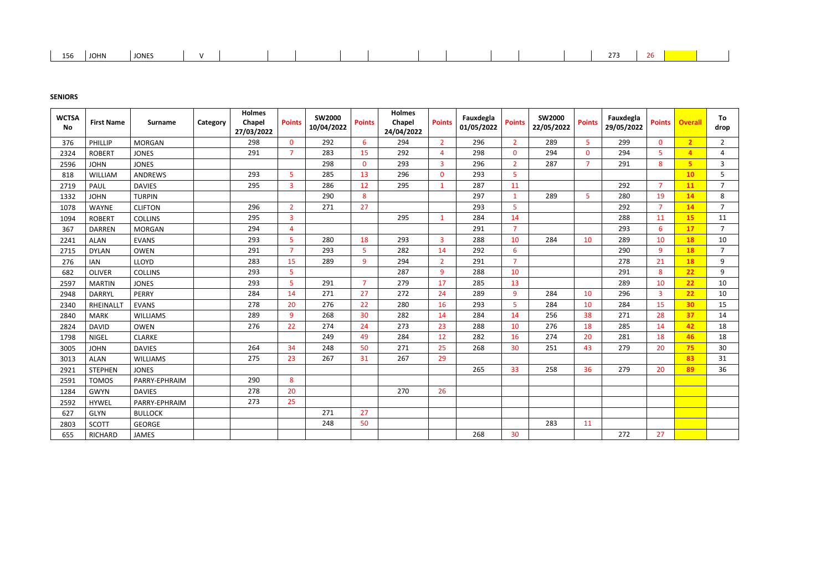| 156<br><b>JONES</b><br>10111<br>JUNIY | $\sim$ $\sim$ $\sim$ |  |  |  |  |  |  |  |  |  |  |  |  |  |  |  |  |  |  |  |
|---------------------------------------|----------------------|--|--|--|--|--|--|--|--|--|--|--|--|--|--|--|--|--|--|--|
|---------------------------------------|----------------------|--|--|--|--|--|--|--|--|--|--|--|--|--|--|--|--|--|--|--|

# **SENIORS**

| <b>WCTSA</b><br><b>No</b> | <b>First Name</b> | <b>Surname</b><br>Category | <b>Holmes</b><br><b>Chapel</b><br>27/03/2022 | <b>Points</b>  | <b>SW2000</b><br>10/04/2022 | <b>Points</b>  | <b>Holmes</b><br>Chapel<br>24/04/2022 | <b>Points</b>  | Fauxdegla<br>01/05/2022 | <b>Points</b>  | <b>SW2000</b><br>22/05/2022 | <b>Points</b>  | Fauxdegla<br>29/05/2022 | <b>Points</b>   | <b>Overall</b> | To<br>drop     |
|---------------------------|-------------------|----------------------------|----------------------------------------------|----------------|-----------------------------|----------------|---------------------------------------|----------------|-------------------------|----------------|-----------------------------|----------------|-------------------------|-----------------|----------------|----------------|
| 376                       | PHILLIP           | <b>MORGAN</b>              | 298                                          | $\mathbf{0}$   | 292                         | 6              | 294                                   | $\overline{2}$ | 296                     | $\overline{2}$ | 289                         | 5              | 299                     | $\mathbf 0$     | $\overline{2}$ | $2^{\circ}$    |
| 2324                      | <b>ROBERT</b>     | <b>JONES</b>               | 291                                          | $\overline{7}$ | 283                         | 15             | 292                                   | $\overline{4}$ | 298                     | $\mathbf{0}$   | 294                         | $\mathbf{0}$   | 294                     | 5               | $\overline{4}$ | $\overline{4}$ |
| 2596                      | <b>JOHN</b>       | <b>JONES</b>               |                                              |                | 298                         | $\mathbf{0}$   | 293                                   | $\overline{3}$ | 296                     | $\overline{2}$ | 287                         | $\overline{7}$ | 291                     | 8               | 5 <sup>5</sup> | $\overline{3}$ |
| 818                       | WILLIAM           | ANDREWS                    | 293                                          | 5              | 285                         | 13             | 296                                   | $\Omega$       | 293                     | 5              |                             |                |                         |                 | 10             | 5              |
| 2719                      | <b>PAUL</b>       | <b>DAVIES</b>              | 295                                          | $\overline{3}$ | 286                         | 12             | 295                                   | $\mathbf 1$    | 287                     | 11             |                             |                | 292                     | $\overline{7}$  | 11             | $\overline{7}$ |
| 1332                      | <b>JOHN</b>       | <b>TURPIN</b>              |                                              |                | 290                         | 8              |                                       |                | 297                     | $\mathbf{1}$   | 289                         | $\overline{5}$ | 280                     | 19              | 14             | 8              |
| 1078                      | <b>WAYNE</b>      | <b>CLIFTON</b>             | 296                                          | $\overline{2}$ | 271                         | 27             |                                       |                | 293                     | 5              |                             |                | 292                     | $\overline{7}$  | 14             | 7 <sup>1</sup> |
| 1094                      | <b>ROBERT</b>     | <b>COLLINS</b>             | 295                                          | $\overline{3}$ |                             |                | 295                                   | $\mathbf{1}$   | 284                     | 14             |                             |                | 288                     | 11              | 15             | 11             |
| 367                       | <b>DARREN</b>     | <b>MORGAN</b>              | 294                                          | $\overline{4}$ |                             |                |                                       |                | 291                     | $\overline{7}$ |                             |                | 293                     | $6\phantom{1}6$ | 17             | 7 <sup>7</sup> |
| 2241                      | <b>ALAN</b>       | <b>EVANS</b>               | 293                                          | 5              | 280                         | 18             | 293                                   | $\overline{3}$ | 288                     | 10             | 284                         | 10             | 289                     | 10              | <b>18</b>      | 10             |
| 2715                      | <b>DYLAN</b>      | <b>OWEN</b>                | 291                                          | $\overline{7}$ | 293                         | $\overline{5}$ | 282                                   | 14             | 292                     | 6              |                             |                | 290                     | $\overline{9}$  | 18             | $\overline{7}$ |
| 276                       | <b>IAN</b>        | <b>LLOYD</b>               | 283                                          | 15             | 289                         | $\overline{9}$ | 294                                   | $\overline{2}$ | 291                     | $\overline{7}$ |                             |                | 278                     | 21              | 18             | 9              |
| 682                       | <b>OLIVER</b>     | <b>COLLINS</b>             | 293                                          | 5              |                             |                | 287                                   | 9              | 288                     | 10             |                             |                | 291                     | 8               | 22             | 9              |
| 2597                      | <b>MARTIN</b>     | <b>JONES</b>               | 293                                          | 5              | 291                         | $\overline{7}$ | 279                                   | 17             | 285                     | 13             |                             |                | 289                     | 10              | 22             | 10             |
| 2948                      | <b>DARRYL</b>     | <b>PERRY</b>               | 284                                          | 14             | 271                         | 27             | 272                                   | 24             | 289                     | 9              | 284                         | 10             | 296                     | $\overline{3}$  | 22             | 10             |
| 2340                      | <b>RHEINALLT</b>  | <b>EVANS</b>               | 278                                          | 20             | 276                         | 22             | 280                                   | 16             | 293                     | 5              | 284                         | 10             | 284                     | 15              | 30             | 15             |
| 2840                      | <b>MARK</b>       | <b>WILLIAMS</b>            | 289                                          | $\overline{9}$ | 268                         | 30             | 282                                   | 14             | 284                     | 14             | 256                         | 38             | 271                     | 28              | 37             | 14             |
| 2824                      | <b>DAVID</b>      | <b>OWEN</b>                | 276                                          | 22             | 274                         | 24             | 273                                   | 23             | 288                     | 10             | 276                         | 18             | 285                     | 14              | 42             | 18             |
| 1798                      | <b>NIGEL</b>      | <b>CLARKE</b>              |                                              |                | 249                         | 49             | 284                                   | 12             | 282                     | 16             | 274                         | 20             | 281                     | 18              | 46             | 18             |
| 3005                      | <b>JOHN</b>       | <b>DAVIES</b>              | 264                                          | 34             | 248                         | 50             | 271                                   | 25             | 268                     | 30             | 251                         | 43             | 279                     | 20              | 75             | 30             |
| 3013                      | <b>ALAN</b>       | <b>WILLIAMS</b>            | 275                                          | 23             | 267                         | 31             | 267                                   | 29             |                         |                |                             |                |                         |                 | 83             | 31             |
| 2921                      | <b>STEPHEN</b>    | <b>JONES</b>               |                                              |                |                             |                |                                       |                | 265                     | 33             | 258                         | 36             | 279                     | 20              | 89             | 36             |
| 2591                      | <b>TOMOS</b>      | PARRY-EPHRAIM              | 290                                          | 8              |                             |                |                                       |                |                         |                |                             |                |                         |                 |                |                |
| 1284                      | <b>GWYN</b>       | <b>DAVIES</b>              | 278                                          | 20             |                             |                | 270                                   | 26             |                         |                |                             |                |                         |                 |                |                |
| 2592                      | <b>HYWEL</b>      | PARRY-EPHRAIM              | 273                                          | 25             |                             |                |                                       |                |                         |                |                             |                |                         |                 |                |                |
| 627                       | <b>GLYN</b>       | <b>BULLOCK</b>             |                                              |                | 271                         | 27             |                                       |                |                         |                |                             |                |                         |                 |                |                |
| 2803                      | <b>SCOTT</b>      | <b>GEORGE</b>              |                                              |                | 248                         | 50             |                                       |                |                         |                | 283                         | 11             |                         |                 |                |                |
| 655                       | <b>RICHARD</b>    | <b>JAMES</b>               |                                              |                |                             |                |                                       |                | 268                     | 30             |                             |                | 272                     | 27              |                |                |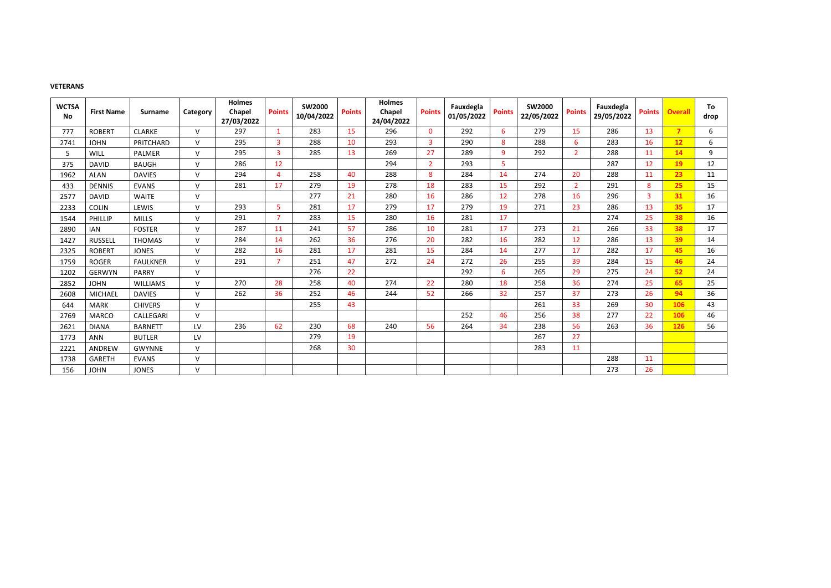### **VETERANS**

| <b>WCTSA</b><br>No | <b>First Name</b> | <b>Surname</b>  | Category     | <b>Holmes</b><br>Chapel<br>27/03/2022 | <b>Points</b>  | <b>SW2000</b><br>10/04/2022 | <b>Points</b> | <b>Holmes</b><br>Chapel<br>24/04/2022 | <b>Points</b>  | Fauxdegla<br>01/05/2022 | <b>Points</b> | <b>SW2000</b><br>22/05/2022 | <b>Points</b>  | Fauxdegla<br>29/05/2022 | <b>Points</b>  | <b>Overall</b> | To<br>drop |
|--------------------|-------------------|-----------------|--------------|---------------------------------------|----------------|-----------------------------|---------------|---------------------------------------|----------------|-------------------------|---------------|-----------------------------|----------------|-------------------------|----------------|----------------|------------|
| 777                | <b>ROBERT</b>     | <b>CLARKE</b>   | $\vee$       | 297                                   | $\mathbf 1$    | 283                         | 15            | 296                                   | $\mathbf{0}$   | 292                     | 6             | 279                         | 15             | 286                     | 13             | $\overline{7}$ | 6          |
| 2741               | <b>JOHN</b>       | PRITCHARD       | $\vee$       | 295                                   | $\mathbf{3}$   | 288                         | 10            | 293                                   | $\overline{3}$ | 290                     | 8             | 288                         | 6              | 283                     | 16             | 12             | 6          |
| 5                  | <b>WILL</b>       | PALMER          | $\vee$       | 295                                   | $\overline{3}$ | 285                         | 13            | 269                                   | 27             | 289                     | 9             | 292                         | 2 <sup>1</sup> | 288                     | 11             | 14             | 9          |
| 375                | <b>DAVID</b>      | <b>BAUGH</b>    | $\vee$       | 286                                   | 12             |                             |               | 294                                   | $\overline{2}$ | 293                     | 5             |                             |                | 287                     | 12             | <b>19</b>      | 12         |
| 1962               | <b>ALAN</b>       | <b>DAVIES</b>   | V            | 294                                   | $\overline{4}$ | 258                         | 40            | 288                                   | 8              | 284                     | 14            | 274                         | 20             | 288                     | 11             | 23             | 11         |
| 433                | <b>DENNIS</b>     | <b>EVANS</b>    | $\vee$       | 281                                   | 17             | 279                         | 19            | 278                                   | 18             | 283                     | 15            | 292                         | $\overline{2}$ | 291                     | 8              | 25             | 15         |
| 2577               | <b>DAVID</b>      | <b>WAITE</b>    | $\vee$       |                                       |                | 277                         | 21            | 280                                   | 16             | 286                     | 12            | 278                         | 16             | 296                     | $\overline{3}$ | 31             | 16         |
| 2233               | <b>COLIN</b>      | LEWIS           | $\vee$       | 293                                   | 5              | 281                         | 17            | 279                                   | 17             | 279                     | 19            | 271                         | 23             | 286                     | 13             | 35             | 17         |
| 1544               | PHILLIP           | <b>MILLS</b>    | V            | 291                                   | $\overline{7}$ | 283                         | 15            | 280                                   | 16             | 281                     | 17            |                             |                | 274                     | 25             | 38             | 16         |
| 2890               | <b>IAN</b>        | <b>FOSTER</b>   | $\vee$       | 287                                   | 11             | 241                         | 57            | 286                                   | 10             | 281                     | 17            | 273                         | 21             | 266                     | 33             | 38             | 17         |
| 1427               | <b>RUSSELL</b>    | <b>THOMAS</b>   | $\vee$       | 284                                   | 14             | 262                         | 36            | 276                                   | 20             | 282                     | 16            | 282                         | 12             | 286                     | 13             | 39             | 14         |
| 2325               | <b>ROBERT</b>     | <b>JONES</b>    | V            | 282                                   | 16             | 281                         | 17            | 281                                   | 15             | 284                     | 14            | 277                         | 17             | 282                     | 17             | 45             | 16         |
| 1759               | <b>ROGER</b>      | <b>FAULKNER</b> | $\vee$       | 291                                   | $\overline{7}$ | 251                         | 47            | 272                                   | 24             | 272                     | 26            | 255                         | 39             | 284                     | 15             | 46             | 24         |
| 1202               | <b>GERWYN</b>     | <b>PARRY</b>    | $\mathsf{V}$ |                                       |                | 276                         | 22            |                                       |                | 292                     | 6             | 265                         | 29             | 275                     | 24             | 52             | 24         |
| 2852               | <b>JOHN</b>       | <b>WILLIAMS</b> | $\vee$       | 270                                   | 28             | 258                         | 40            | 274                                   | 22             | 280                     | 18            | 258                         | 36             | 274                     | 25             | 65             | 25         |
| 2608               | <b>MICHAEL</b>    | <b>DAVIES</b>   | V            | 262                                   | 36             | 252                         | 46            | 244                                   | 52             | 266                     | 32            | 257                         | 37             | 273                     | 26             | 94             | 36         |
| 644                | <b>MARK</b>       | <b>CHIVERS</b>  | $\vee$       |                                       |                | 255                         | 43            |                                       |                |                         |               | 261                         | 33             | 269                     | 30             | 106            | 43         |
| 2769               | <b>MARCO</b>      | CALLEGARI       | $\vee$       |                                       |                |                             |               |                                       |                | 252                     | 46            | 256                         | 38             | 277                     | 22             | 106            | 46         |
| 2621               | <b>DIANA</b>      | <b>BARNETT</b>  | LV           | 236                                   | 62             | 230                         | 68            | 240                                   | 56             | 264                     | 34            | 238                         | 56             | 263                     | 36             | 126            | 56         |
| 1773               | ANN               | <b>BUTLER</b>   | LV           |                                       |                | 279                         | 19            |                                       |                |                         |               | 267                         | 27             |                         |                |                |            |
| 2221               | ANDREW            | <b>GWYNNE</b>   | $\vee$       |                                       |                | 268                         | 30            |                                       |                |                         |               | 283                         | 11             |                         |                |                |            |
| 1738               | <b>GARETH</b>     | <b>EVANS</b>    | $\vee$       |                                       |                |                             |               |                                       |                |                         |               |                             |                | 288                     | 11             |                |            |
| 156                | <b>JOHN</b>       | <b>JONES</b>    | $\vee$       |                                       |                |                             |               |                                       |                |                         |               |                             |                | 273                     | 26             |                |            |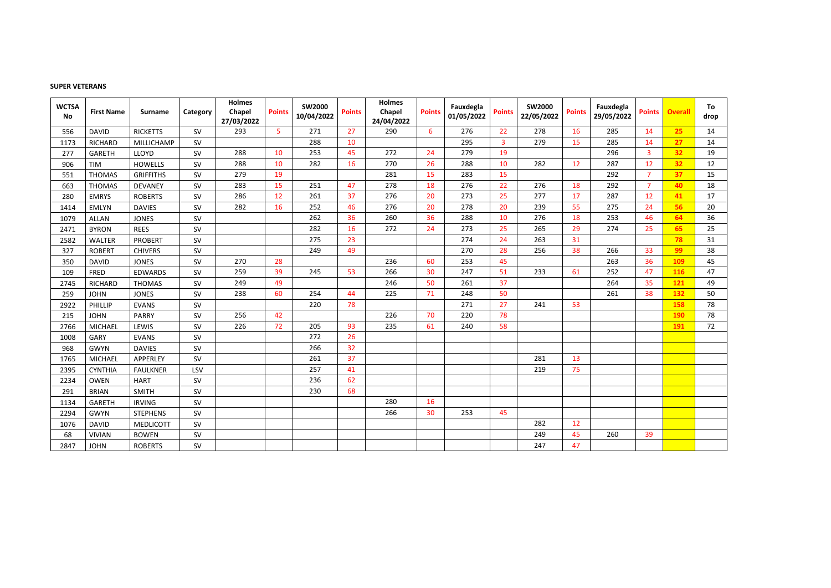### **SUPER VETERANS**

| <b>WCTSA</b><br>No | <b>First Name</b> | <b>Surname</b>   | Category  | <b>Holmes</b><br>Chapel<br>27/03/2022 | <b>Points</b>  | <b>SW2000</b><br>10/04/2022 | <b>Points</b> | <b>Holmes</b><br>Chapel<br>24/04/2022 | <b>Points</b> | Fauxdegla<br>01/05/2022 | <b>Points</b>  | <b>SW2000</b><br>22/05/2022 | <b>Points</b> | Fauxdegla<br>29/05/2022 | <b>Points</b>  | <b>Overall</b> | To<br>drop |
|--------------------|-------------------|------------------|-----------|---------------------------------------|----------------|-----------------------------|---------------|---------------------------------------|---------------|-------------------------|----------------|-----------------------------|---------------|-------------------------|----------------|----------------|------------|
| 556                | <b>DAVID</b>      | <b>RICKETTS</b>  | SV        | 293                                   | 5 <sup>1</sup> | 271                         | 27            | 290                                   | 6             | 276                     | 22             | 278                         | 16            | 285                     | 14             | 25             | 14         |
| 1173               | RICHARD           | MILLICHAMP       | SV        |                                       |                | 288                         | 10            |                                       |               | 295                     | $\overline{3}$ | 279                         | 15            | 285                     | 14             | 27             | 14         |
| 277                | <b>GARETH</b>     | LLOYD            | SV        | 288                                   | 10             | 253                         | 45            | 272                                   | 24            | 279                     | 19             |                             |               | 296                     | $\overline{3}$ | 32             | 19         |
| 906                | <b>TIM</b>        | <b>HOWELLS</b>   | <b>SV</b> | 288                                   | 10             | 282                         | 16            | 270                                   | 26            | 288                     | 10             | 282                         | 12            | 287                     | 12             | 32             | 12         |
| 551                | <b>THOMAS</b>     | <b>GRIFFITHS</b> | SV        | 279                                   | 19             |                             |               | 281                                   | 15            | 283                     | 15             |                             |               | 292                     | $\overline{7}$ | 37             | 15         |
| 663                | <b>THOMAS</b>     | <b>DEVANEY</b>   | SV        | 283                                   | 15             | 251                         | 47            | 278                                   | 18            | 276                     | 22             | 276                         | 18            | 292                     | $\overline{7}$ | 40             | 18         |
| 280                | <b>EMRYS</b>      | <b>ROBERTS</b>   | <b>SV</b> | 286                                   | 12             | 261                         | 37            | 276                                   | 20            | 273                     | 25             | 277                         | 17            | 287                     | 12             | 41             | 17         |
| 1414               | <b>EMLYN</b>      | <b>DAVIES</b>    | <b>SV</b> | 282                                   | 16             | 252                         | 46            | 276                                   | 20            | 278                     | 20             | 239                         | 55            | 275                     | 24             | 56             | 20         |
| 1079               | <b>ALLAN</b>      | <b>JONES</b>     | SV        |                                       |                | 262                         | 36            | 260                                   | 36            | 288                     | 10             | 276                         | 18            | 253                     | 46             | 64             | 36         |
| 2471               | <b>BYRON</b>      | <b>REES</b>      | <b>SV</b> |                                       |                | 282                         | 16            | 272                                   | 24            | 273                     | 25             | 265                         | 29            | 274                     | 25             | 65             | 25         |
| 2582               | <b>WALTER</b>     | <b>PROBERT</b>   | SV        |                                       |                | 275                         | 23            |                                       |               | 274                     | 24             | 263                         | 31            |                         |                | 78             | 31         |
| 327                | <b>ROBERT</b>     | <b>CHIVERS</b>   | SV        |                                       |                | 249                         | 49            |                                       |               | 270                     | 28             | 256                         | 38            | 266                     | 33             | 99             | 38         |
| 350                | <b>DAVID</b>      | <b>JONES</b>     | <b>SV</b> | 270                                   | 28             |                             |               | 236                                   | 60            | 253                     | 45             |                             |               | 263                     | 36             | <b>109</b>     | 45         |
| 109                | FRED              | <b>EDWARDS</b>   | SV        | 259                                   | 39             | 245                         | 53            | 266                                   | 30            | 247                     | 51             | 233                         | 61            | 252                     | 47             | <b>116</b>     | 47         |
| 2745               | <b>RICHARD</b>    | <b>THOMAS</b>    | <b>SV</b> | 249                                   | 49             |                             |               | 246                                   | 50            | 261                     | 37             |                             |               | 264                     | 35             | 121            | 49         |
| 259                | <b>JOHN</b>       | <b>JONES</b>     | SV        | 238                                   | 60             | 254                         | 44            | 225                                   | 71            | 248                     | 50             |                             |               | 261                     | 38             | 132            | 50         |
| 2922               | PHILLIP           | <b>EVANS</b>     | SV        |                                       |                | 220                         | 78            |                                       |               | 271                     | 27             | 241                         | 53            |                         |                | 158            | 78         |
| 215                | <b>JOHN</b>       | <b>PARRY</b>     | SV        | 256                                   | 42             |                             |               | 226                                   | 70            | 220                     | 78             |                             |               |                         |                | <b>190</b>     | 78         |
| 2766               | <b>MICHAEL</b>    | LEWIS            | <b>SV</b> | 226                                   | 72             | 205                         | 93            | 235                                   | 61            | 240                     | 58             |                             |               |                         |                | <b>191</b>     | 72         |
| 1008               | <b>GARY</b>       | <b>EVANS</b>     | SV        |                                       |                | 272                         | 26            |                                       |               |                         |                |                             |               |                         |                |                |            |
| 968                | <b>GWYN</b>       | <b>DAVIES</b>    | <b>SV</b> |                                       |                | 266                         | 32            |                                       |               |                         |                |                             |               |                         |                |                |            |
| 1765               | <b>MICHAEL</b>    | APPERLEY         | SV        |                                       |                | 261                         | 37            |                                       |               |                         |                | 281                         | 13            |                         |                |                |            |
| 2395               | <b>CYNTHIA</b>    | <b>FAULKNER</b>  | LSV       |                                       |                | 257                         | 41            |                                       |               |                         |                | 219                         | 75            |                         |                |                |            |
| 2234               | <b>OWEN</b>       | <b>HART</b>      | <b>SV</b> |                                       |                | 236                         | 62            |                                       |               |                         |                |                             |               |                         |                |                |            |
| 291                | <b>BRIAN</b>      | <b>SMITH</b>     | SV        |                                       |                | 230                         | 68            |                                       |               |                         |                |                             |               |                         |                |                |            |
| 1134               | GARETH            | <b>IRVING</b>    | SV        |                                       |                |                             |               | 280                                   | 16            |                         |                |                             |               |                         |                |                |            |
| 2294               | <b>GWYN</b>       | <b>STEPHENS</b>  | SV        |                                       |                |                             |               | 266                                   | 30            | 253                     | 45             |                             |               |                         |                |                |            |
| 1076               | <b>DAVID</b>      | <b>MEDLICOTT</b> | SV        |                                       |                |                             |               |                                       |               |                         |                | 282                         | 12            |                         |                |                |            |
| 68                 | <b>VIVIAN</b>     | <b>BOWEN</b>     | SV        |                                       |                |                             |               |                                       |               |                         |                | 249                         | 45            | 260                     | 39             |                |            |
| 2847               | <b>JOHN</b>       | <b>ROBERTS</b>   | <b>SV</b> |                                       |                |                             |               |                                       |               |                         |                | 247                         | 47            |                         |                |                |            |